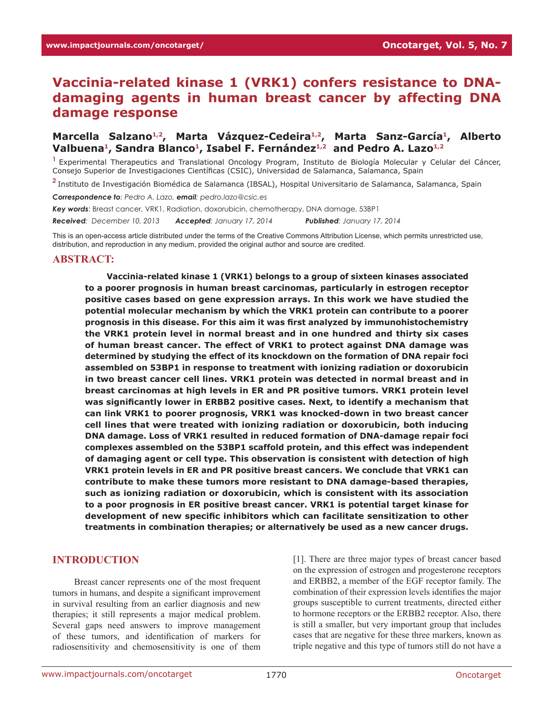# **Vaccinia-related kinase 1 (VRK1) confers resistance to DNAdamaging agents in human breast cancer by affecting DNA damage response**

## Marcella Salzano<sup>1,2</sup>, Marta Vázquez-Cedeira<sup>1,2</sup>, Marta Sanz-García<sup>1</sup>, Alberto Valbuena<sup>1</sup>, Sandra Blanco<sup>1</sup>, Isabel F. Fernández<sup>1,2</sup> and Pedro A. Lazo<sup>1,2</sup>

**<sup>1</sup>**Experimental Therapeutics and Translational Oncology Program, Instituto de Biología Molecular y Celular del Cáncer, Consejo Superior de Investigaciones Científicas (CSIC), Universidad de Salamanca, Salamanca, Spain

**<sup>2</sup>**Instituto de Investigación Biomédica de Salamanca (IBSAL), Hospital Universitario de Salamanca, Salamanca, Spain

*Correspondence to: Pedro A. Lazo, email: pedro.lazo@csic.es*

*Key words*: Breast cancer, VRK1, Radiation, doxorubicin, chemotherapy, DNA damage, 53BP1

*Received: December 10, 2013 Accepted: January 17, 2014 Published: January 17, 2014*

This is an open-access article distributed under the terms of the Creative Commons Attribution License, which permits unrestricted use, distribution, and reproduction in any medium, provided the original author and source are credited.

#### **ABSTRACT:**

**Vaccinia-related kinase 1 (VRK1) belongs to a group of sixteen kinases associated to a poorer prognosis in human breast carcinomas, particularly in estrogen receptor positive cases based on gene expression arrays. In this work we have studied the potential molecular mechanism by which the VRK1 protein can contribute to a poorer prognosis in this disease. For this aim it was first analyzed by immunohistochemistry the VRK1 protein level in normal breast and in one hundred and thirty six cases of human breast cancer. The effect of VRK1 to protect against DNA damage was determined by studying the effect of its knockdown on the formation of DNA repair foci assembled on 53BP1 in response to treatment with ionizing radiation or doxorubicin in two breast cancer cell lines. VRK1 protein was detected in normal breast and in breast carcinomas at high levels in ER and PR positive tumors. VRK1 protein level was significantly lower in ERBB2 positive cases. Next, to identify a mechanism that can link VRK1 to poorer prognosis, VRK1 was knocked-down in two breast cancer cell lines that were treated with ionizing radiation or doxorubicin, both inducing DNA damage. Loss of VRK1 resulted in reduced formation of DNA-damage repair foci complexes assembled on the 53BP1 scaffold protein, and this effect was independent of damaging agent or cell type. This observation is consistent with detection of high VRK1 protein levels in ER and PR positive breast cancers. We conclude that VRK1 can contribute to make these tumors more resistant to DNA damage-based therapies, such as ionizing radiation or doxorubicin, which is consistent with its association to a poor prognosis in ER positive breast cancer. VRK1 is potential target kinase for development of new specific inhibitors which can facilitate sensitization to other treatments in combination therapies; or alternatively be used as a new cancer drugs.** 

#### **INTRODUCTION**

Breast cancer represents one of the most frequent tumors in humans, and despite a significant improvement in survival resulting from an earlier diagnosis and new therapies; it still represents a major medical problem. Several gaps need answers to improve management of these tumors, and identification of markers for radiosensitivity and chemosensitivity is one of them

[1]. There are three major types of breast cancer based on the expression of estrogen and progesterone receptors and ERBB2, a member of the EGF receptor family. The combination of their expression levels identifies the major groups susceptible to current treatments, directed either to hormone receptors or the ERBB2 receptor. Also, there is still a smaller, but very important group that includes cases that are negative for these three markers, known as triple negative and this type of tumors still do not have a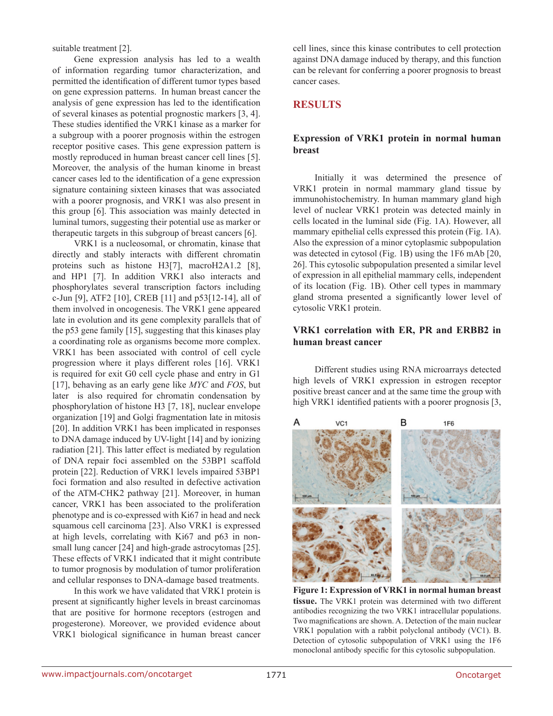suitable treatment [2].

Gene expression analysis has led to a wealth of information regarding tumor characterization, and permitted the identification of different tumor types based on gene expression patterns. In human breast cancer the analysis of gene expression has led to the identification of several kinases as potential prognostic markers [3, 4]. These studies identified the VRK1 kinase as a marker for a subgroup with a poorer prognosis within the estrogen receptor positive cases. This gene expression pattern is mostly reproduced in human breast cancer cell lines [5]. Moreover, the analysis of the human kinome in breast cancer cases led to the identification of a gene expression signature containing sixteen kinases that was associated with a poorer prognosis, and VRK1 was also present in this group [6]. This association was mainly detected in luminal tumors, suggesting their potential use as marker or therapeutic targets in this subgroup of breast cancers [6].

VRK1 is a nucleosomal, or chromatin, kinase that directly and stably interacts with different chromatin proteins such as histone H3[7], macroH2A1.2 [8], and HP1 [7]. In addition VRK1 also interacts and phosphorylates several transcription factors including c-Jun [9], ATF2 [10], CREB [11] and p53[12-14], all of them involved in oncogenesis. The VRK1 gene appeared late in evolution and its gene complexity parallels that of the p53 gene family [15], suggesting that this kinases play a coordinating role as organisms become more complex. VRK1 has been associated with control of cell cycle progression where it plays different roles [16]. VRK1 is required for exit G0 cell cycle phase and entry in G1 [17], behaving as an early gene like *MYC* and *FOS*, but later is also required for chromatin condensation by phosphorylation of histone H3 [7, 18], nuclear envelope organization [19] and Golgi fragmentation late in mitosis [20]. In addition VRK1 has been implicated in responses to DNA damage induced by UV-light [14] and by ionizing radiation [21]. This latter effect is mediated by regulation of DNA repair foci assembled on the 53BP1 scaffold protein [22]. Reduction of VRK1 levels impaired 53BP1 foci formation and also resulted in defective activation of the ATM-CHK2 pathway [21]. Moreover, in human cancer, VRK1 has been associated to the proliferation phenotype and is co-expressed with Ki67 in head and neck squamous cell carcinoma [23]. Also VRK1 is expressed at high levels, correlating with Ki67 and p63 in nonsmall lung cancer [24] and high-grade astrocytomas [25]. These effects of VRK1 indicated that it might contribute to tumor prognosis by modulation of tumor proliferation and cellular responses to DNA-damage based treatments.

In this work we have validated that VRK1 protein is present at significantly higher levels in breast carcinomas that are positive for hormone receptors (estrogen and progesterone). Moreover, we provided evidence about VRK1 biological significance in human breast cancer cell lines, since this kinase contributes to cell protection against DNA damage induced by therapy, and this function can be relevant for conferring a poorer prognosis to breast cancer cases.

# **RESULTS**

## **Expression of VRK1 protein in normal human breast**

Initially it was determined the presence of VRK1 protein in normal mammary gland tissue by immunohistochemistry. In human mammary gland high level of nuclear VRK1 protein was detected mainly in cells located in the luminal side (Fig. 1A). However, all mammary epithelial cells expressed this protein (Fig. 1A). Also the expression of a minor cytoplasmic subpopulation was detected in cytosol (Fig. 1B) using the 1F6 mAb [20, 26]. This cytosolic subpopulation presented a similar level of expression in all epithelial mammary cells, independent of its location (Fig. 1B). Other cell types in mammary gland stroma presented a significantly lower level of cytosolic VRK1 protein.

## **VRK1 correlation with ER, PR and ERBB2 in human breast cancer**

Different studies using RNA microarrays detected high levels of VRK1 expression in estrogen receptor positive breast cancer and at the same time the group with high VRK1 identified patients with a poorer prognosis [3,



**Figure 1: Expression of VRK1 in normal human breast tissue.** The VRK1 protein was determined with two different antibodies recognizing the two VRK1 intracellular populations. Two magnifications are shown. A. Detection of the main nuclear VRK1 population with a rabbit polyclonal antibody (VC1). B. Detection of cytosolic subpopulation of VRK1 using the 1F6 monoclonal antibody specific for this cytosolic subpopulation.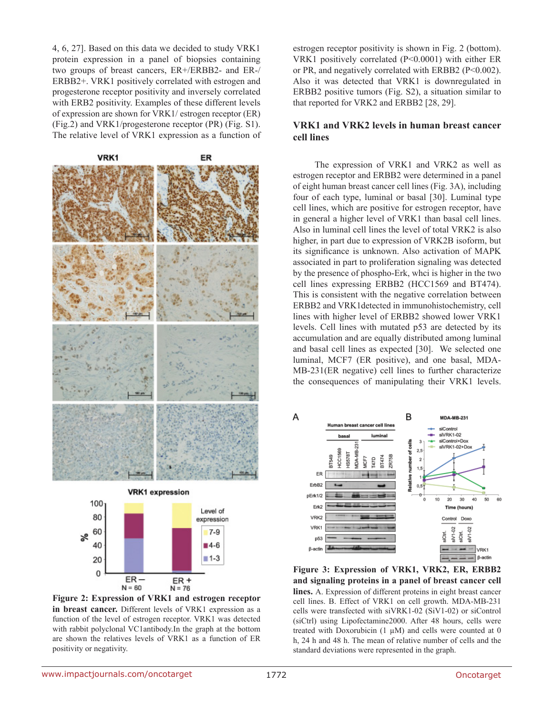4, 6, 27]. Based on this data we decided to study VRK1 protein expression in a panel of biopsies containing two groups of breast cancers, ER+/ERBB2- and ER-/ ERBB2+. VRK1 positively correlated with estrogen and progesterone receptor positivity and inversely correlated with ERB2 positivity. Examples of these different levels of expression are shown for VRK1/ estrogen receptor (ER) (Fig.2) and VRK1/progesterone receptor (PR) (Fig. S1). The relative level of VRK1 expression as a function of



**Figure 2: Expression of VRK1 and estrogen receptor in breast cancer.** Different levels of VRK1 expression as a function of the level of estrogen receptor. VRK1 was detected with rabbit polyclonal VC1antibody.In the graph at the bottom are shown the relatives levels of VRK1 as a function of ER positivity or negativity.

 $N = 76$ 

estrogen receptor positivity is shown in Fig. 2 (bottom). VRK1 positively correlated (P<0.0001) with either ER or PR, and negatively correlated with ERBB2 (P<0.002). Also it was detected that VRK1 is downregulated in ERBB2 positive tumors (Fig. S2), a situation similar to that reported for VRK2 and ERBB2 [28, 29].

#### **VRK1 and VRK2 levels in human breast cancer cell lines**

The expression of VRK1 and VRK2 as well as estrogen receptor and ERBB2 were determined in a panel of eight human breast cancer cell lines (Fig. 3A), including four of each type, luminal or basal [30]. Luminal type cell lines, which are positive for estrogen receptor, have in general a higher level of VRK1 than basal cell lines. Also in luminal cell lines the level of total VRK2 is also higher, in part due to expression of VRK2B isoform, but its significance is unknown. Also activation of MAPK associated in part to proliferation signaling was detected by the presence of phospho-Erk, whci is higher in the two cell lines expressing ERBB2 (HCC1569 and BT474). This is consistent with the negative correlation between ERBB2 and VRK1detected in immunohistochemistry, cell lines with higher level of ERBB2 showed lower VRK1 levels. Cell lines with mutated p53 are detected by its accumulation and are equally distributed among luminal and basal cell lines as expected [30]. We selected one luminal, MCF7 (ER positive), and one basal, MDA-MB-231(ER negative) cell lines to further characterize the consequences of manipulating their VRK1 levels.



**Figure 3: Expression of VRK1, VRK2, ER, ERBB2 and signaling proteins in a panel of breast cancer cell lines.** A. Expression of different proteins in eight breast cancer cell lines. B. Effect of VRK1 on cell growth. MDA-MB-231 cells were transfected with siVRK1-02 (SiV1-02) or siControl (siCtrl) using Lipofectamine2000. After 48 hours, cells were treated with Doxorubicin  $(1 \mu M)$  and cells were counted at 0 h, 24 h and 48 h. The mean of relative number of cells and the standard deviations were represented in the graph.

 $N = 60$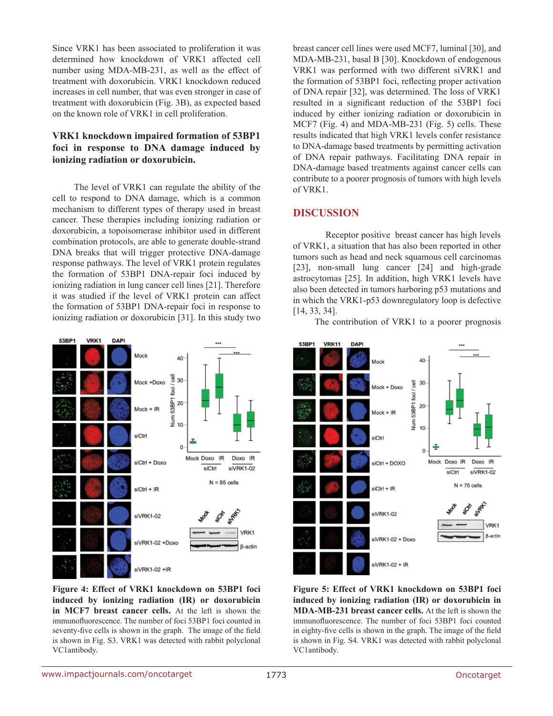Since VRK1 has been associated to proliferation it was determined how knockdown of VRK1 affected cell number using MDA-MB-231, as well as the effect of treatment with doxorubicin. VRK1 knockdown reduced increases in cell number, that was even stronger in case of treatment with doxorubicin (Fig. 3B), as expected based on the known role of VRK1 in cell proliferation.

## **VRK1 knockdown impaired formation of 53BP1 foci in response to DNA damage induced by ionizing radiation or doxorubicin.**

The level of VRK1 can regulate the ability of the cell to respond to DNA damage, which is a common mechanism to different types of therapy used in breast cancer. These therapies including ionizing radiation or doxorubicin, a topoisomerase inhibitor used in different combination protocols, are able to generate double-strand DNA breaks that will trigger protective DNA-damage response pathways. The level of VRK1 protein regulates the formation of 53BP1 DNA-repair foci induced by ionizing radiation in lung cancer cell lines [21]. Therefore it was studied if the level of VRK1 protein can affect the formation of 53BP1 DNA-repair foci in response to ionizing radiation or doxorubicin [31]. In this study two



**Figure 4: Effect of VRK1 knockdown on 53BP1 foci induced by ionizing radiation (IR) or doxorubicin in MCF7 breast cancer cells.** At the left is shown the immunofluorescence. The number of foci 53BP1 foci counted in seventy-five cells is shown in the graph. The image of the field is shown in Fig. S3. VRK1 was detected with rabbit polyclonal VC1antibody.

breast cancer cell lines were used MCF7, luminal [30], and MDA-MB-231, basal B [30]. Knockdown of endogenous VRK1 was performed with two different siVRK1 and the formation of 53BP1 foci, reflecting proper activation of DNA repair [32], was determined. The loss of VRK1 resulted in a significant reduction of the 53BP1 foci induced by either ionizing radiation or doxorubicin in MCF7 (Fig. 4) and MDA-MB-231 (Fig. 5) cells. These results indicated that high VRK1 levels confer resistance to DNA-damage based treatments by permitting activation of DNA repair pathways. Facilitating DNA repair in DNA-damage based treatments against cancer cells can contribute to a poorer prognosis of tumors with high levels of VRK1.

## **DISCUSSION**

Receptor positive breast cancer has high levels of VRK1, a situation that has also been reported in other tumors such as head and neck squamous cell carcinomas [23], non-small lung cancer [24] and high-grade astrocytomas [25]. In addition, high VRK1 levels have also been detected in tumors harboring p53 mutations and in which the VRK1-p53 downregulatory loop is defective [14, 33, 34].

The contribution of VRK1 to a poorer prognosis



**Figure 5: Effect of VRK1 knockdown on 53BP1 foci induced by ionizing radiation (IR) or doxorubicin in MDA-MB-231 breast cancer cells.** At the left is shown the immunofluorescence. The number of foci 53BP1 foci counted in eighty-five cells is shown in the graph. The image of the field is shown in Fig. S4. VRK1 was detected with rabbit polyclonal VC1antibody.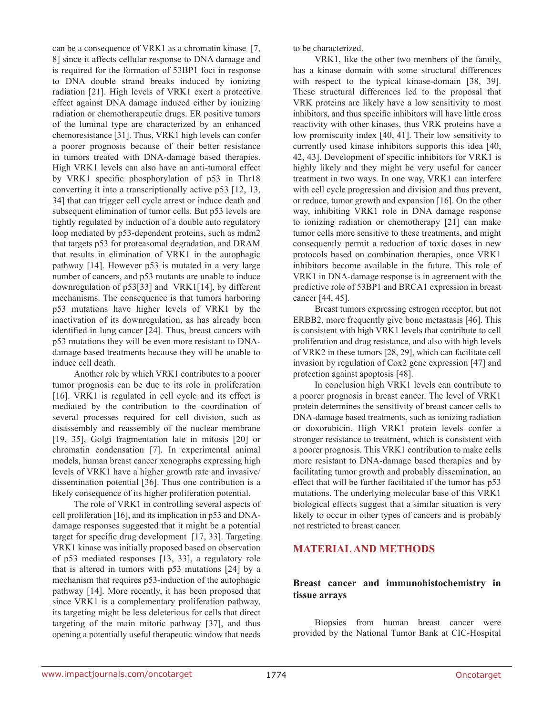can be a consequence of VRK1 as a chromatin kinase [7, 8] since it affects cellular response to DNA damage and is required for the formation of 53BP1 foci in response to DNA double strand breaks induced by ionizing radiation [21]. High levels of VRK1 exert a protective effect against DNA damage induced either by ionizing radiation or chemotherapeutic drugs. ER positive tumors of the luminal type are characterized by an enhanced chemoresistance [31]. Thus, VRK1 high levels can confer a poorer prognosis because of their better resistance in tumors treated with DNA-damage based therapies. High VRK1 levels can also have an anti-tumoral effect by VRK1 specific phosphorylation of p53 in Thr18 converting it into a transcriptionally active p53 [12, 13, 34] that can trigger cell cycle arrest or induce death and subsequent elimination of tumor cells. But p53 levels are tightly regulated by induction of a double auto regulatory loop mediated by p53-dependent proteins, such as mdm2 that targets p53 for proteasomal degradation, and DRAM that results in elimination of VRK1 in the autophagic pathway [14]. However p53 is mutated in a very large number of cancers, and p53 mutants are unable to induce downregulation of p53[33] and VRK1[14], by different mechanisms. The consequence is that tumors harboring p53 mutations have higher levels of VRK1 by the inactivation of its downregulation, as has already been identified in lung cancer [24]. Thus, breast cancers with p53 mutations they will be even more resistant to DNAdamage based treatments because they will be unable to induce cell death.

Another role by which VRK1 contributes to a poorer tumor prognosis can be due to its role in proliferation [16]. VRK1 is regulated in cell cycle and its effect is mediated by the contribution to the coordination of several processes required for cell division, such as disassembly and reassembly of the nuclear membrane [19, 35], Golgi fragmentation late in mitosis [20] or chromatin condensation [7]. In experimental animal models, human breast cancer xenographs expressing high levels of VRK1 have a higher growth rate and invasive/ dissemination potential [36]. Thus one contribution is a likely consequence of its higher proliferation potential.

The role of VRK1 in controlling several aspects of cell proliferation [16], and its implication in p53 and DNAdamage responses suggested that it might be a potential target for specific drug development [17, 33]. Targeting VRK1 kinase was initially proposed based on observation of p53 mediated responses [13, 33], a regulatory role that is altered in tumors with p53 mutations [24] by a mechanism that requires p53-induction of the autophagic pathway [14]. More recently, it has been proposed that since VRK1 is a complementary proliferation pathway, its targeting might be less deleterious for cells that direct targeting of the main mitotic pathway [37], and thus opening a potentially useful therapeutic window that needs

to be characterized.

VRK1, like the other two members of the family, has a kinase domain with some structural differences with respect to the typical kinase-domain [38, 39]. These structural differences led to the proposal that VRK proteins are likely have a low sensitivity to most inhibitors, and thus specific inhibitors will have little cross reactivity with other kinases, thus VRK proteins have a low promiscuity index [40, 41]. Their low sensitivity to currently used kinase inhibitors supports this idea [40, 42, 43]. Development of specific inhibitors for VRK1 is highly likely and they might be very useful for cancer treatment in two ways. In one way, VRK1 can interfere with cell cycle progression and division and thus prevent, or reduce, tumor growth and expansion [16]. On the other way, inhibiting VRK1 role in DNA damage response to ionizing radiation or chemotherapy [21] can make tumor cells more sensitive to these treatments, and might consequently permit a reduction of toxic doses in new protocols based on combination therapies, once VRK1 inhibitors become available in the future. This role of VRK1 in DNA-damage response is in agreement with the predictive role of 53BP1 and BRCA1 expression in breast cancer [44, 45].

Breast tumors expressing estrogen receptor, but not ERBB2, more frequently give bone metastasis [46]. This is consistent with high VRK1 levels that contribute to cell proliferation and drug resistance, and also with high levels of VRK2 in these tumors [28, 29], which can facilitate cell invasion by regulation of Cox2 gene expression [47] and protection against apoptosis [48].

In conclusion high VRK1 levels can contribute to a poorer prognosis in breast cancer. The level of VRK1 protein determines the sensitivity of breast cancer cells to DNA-damage based treatments, such as ionizing radiation or doxorubicin. High VRK1 protein levels confer a stronger resistance to treatment, which is consistent with a poorer prognosis. This VRK1 contribution to make cells more resistant to DNA-damage based therapies and by facilitating tumor growth and probably dissemination, an effect that will be further facilitated if the tumor has p53 mutations. The underlying molecular base of this VRK1 biological effects suggest that a similar situation is very likely to occur in other types of cancers and is probably not restricted to breast cancer.

# **MATERIAL AND METHODS**

#### **Breast cancer and immunohistochemistry in tissue arrays**

Biopsies from human breast cancer were provided by the National Tumor Bank at CIC-Hospital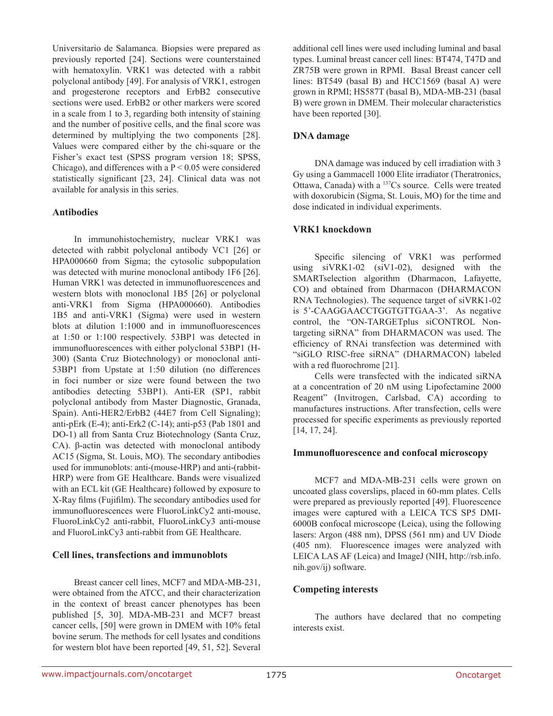Universitario de Salamanca. Biopsies were prepared as previously reported [24]. Sections were counterstained with hematoxylin. VRK1 was detected with a rabbit polyclonal antibody [49]. For analysis of VRK1, estrogen and progesterone receptors and ErbB2 consecutive sections were used. ErbB2 or other markers were scored in a scale from 1 to 3, regarding both intensity of staining and the number of positive cells, and the final score was determined by multiplying the two components [28]. Values were compared either by the chi-square or the Fisher's exact test (SPSS program version 18; SPSS, Chicago), and differences with a  $P < 0.05$  were considered statistically significant [23, 24]. Clinical data was not available for analysis in this series.

#### **Antibodies**

In immunohistochemistry, nuclear VRK1 was detected with rabbit polyclonal antibody VC1 [26] or HPA000660 from Sigma; the cytosolic subpopulation was detected with murine monoclonal antibody 1F6 [26]. Human VRK1 was detected in immunofluorescences and western blots with monoclonal 1B5 [26] or polyclonal anti-VRK1 from Sigma (HPA000660). Antibodies 1B5 and anti-VRK1 (Sigma) were used in western blots at dilution 1:1000 and in immunofluorescences at 1:50 or 1:100 respectively. 53BP1 was detected in immunofluorescences with either polyclonal 53BP1 (H-300) (Santa Cruz Biotechnology) or monoclonal anti-53BP1 from Upstate at 1:50 dilution (no differences in foci number or size were found between the two antibodies detecting 53BP1). Anti-ER (SP1, rabbit polyclonal antibody from Master Diagnostic, Granada, Spain). Anti-HER2/ErbB2 (44E7 from Cell Signaling); anti-pErk (E-4); anti-Erk2 (C-14); anti-p53 (Pab 1801 and DO-1) all from Santa Cruz Biotechnology (Santa Cruz, CA). β-actin was detected with monoclonal antibody AC15 (Sigma, St. Louis, MO). The secondary antibodies used for immunoblots: anti-(mouse-HRP) and anti-(rabbit-HRP) were from GE Healthcare. Bands were visualized with an ECL kit (GE Healthcare) followed by exposure to X-Ray films (Fujifilm). The secondary antibodies used for immunofluorescences were FluoroLinkCy2 anti-mouse, FluoroLinkCy2 anti-rabbit, FluoroLinkCy3 anti-mouse and FluoroLinkCy3 anti-rabbit from GE Healthcare.

#### **Cell lines, transfections and immunoblots**

Breast cancer cell lines, MCF7 and MDA-MB-231, were obtained from the ATCC, and their characterization in the context of breast cancer phenotypes has been published [5, 30]. MDA-MB-231 and MCF7 breast cancer cells, [50] were grown in DMEM with 10% fetal bovine serum. The methods for cell lysates and conditions for western blot have been reported [49, 51, 52]. Several additional cell lines were used including luminal and basal types. Luminal breast cancer cell lines: BT474, T47D and ZR75B were grown in RPMI. Basal Breast cancer cell lines: BT549 (basal B) and HCC1569 (basal A) were grown in RPMI; HS587T (basal B), MDA-MB-231 (basal B) were grown in DMEM. Their molecular characteristics have been reported [30].

#### **DNA damage**

DNA damage was induced by cell irradiation with 3 Gy using a Gammacell 1000 Elite irradiator (Theratronics, Ottawa, Canada) with a 137Cs source. Cells were treated with doxorubicin (Sigma, St. Louis, MO) for the time and dose indicated in individual experiments.

#### **VRK1 knockdown**

Specific silencing of VRK1 was performed using siVRK1-02 (siV1-02), designed with the SMARTselection algorithm (Dharmacon, Lafayette, CO) and obtained from Dharmacon (DHARMACON RNA Technologies). The sequence target of siVRK1-02 is 5'-CAAGGAACCTGGTGTTGAA-3'. As negative control, the "ON-TARGETplus siCONTROL Nontargeting siRNA" from DHARMACON was used. The efficiency of RNAi transfection was determined with "siGLO RISC-free siRNA" (DHARMACON) labeled with a red fluorochrome [21].

Cells were transfected with the indicated siRNA at a concentration of 20 nM using Lipofectamine 2000 Reagent" (Invitrogen, Carlsbad, CA) according to manufactures instructions. After transfection, cells were processed for specific experiments as previously reported [14, 17, 24].

#### **Immunofluorescence and confocal microscopy**

MCF7 and MDA-MB-231 cells were grown on uncoated glass coverslips, placed in 60-mm plates. Cells were prepared as previously reported [49]. Fluorescence images were captured with a LEICA TCS SP5 DMI-6000B confocal microscope (Leica), using the following lasers: Argon (488 nm), DPSS (561 nm) and UV Diode (405 nm). Fluorescence images were analyzed with LEICA LAS AF (Leica) and ImageJ (NIH, http://rsb.info. nih.gov/ij) software.

#### **Competing interests**

The authors have declared that no competing interests exist.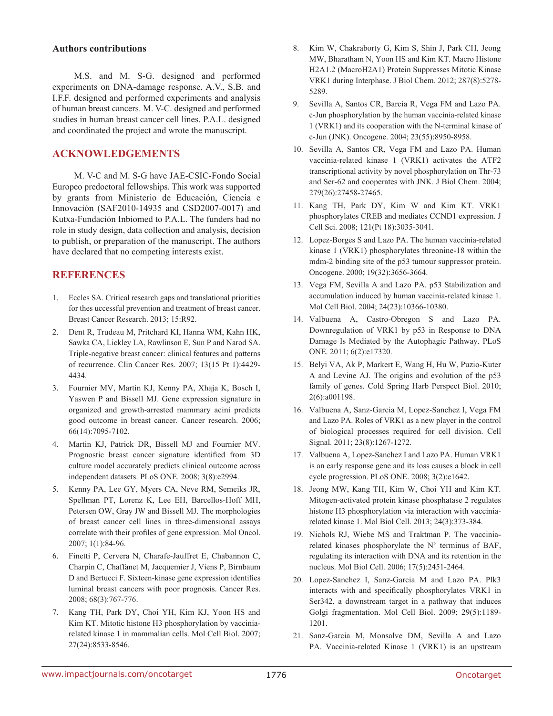#### **Authors contributions**

M.S. and M. S-G. designed and performed experiments on DNA-damage response. A.V., S.B. and I.F.F. designed and performed experiments and analysis of human breast cancers. M. V-C. designed and performed studies in human breast cancer cell lines. P.A.L. designed and coordinated the project and wrote the manuscript.

## **ACKNOWLEDGEMENTS**

M. V-C and M. S-G have JAE-CSIC-Fondo Social Europeo predoctoral fellowships. This work was supported by grants from Ministerio de Educación, Ciencia e Innovación (SAF2010-14935 and CSD2007-0017) and Kutxa-Fundación Inbiomed to P.A.L. The funders had no role in study design, data collection and analysis, decision to publish, or preparation of the manuscript. The authors have declared that no competing interests exist.

## **REFERENCES**

- 1. Eccles SA. Critical research gaps and translational priorities for thes uccessful prevention and treatment of breast cancer. Breast Cancer Research. 2013; 15:R92.
- 2. Dent R, Trudeau M, Pritchard KI, Hanna WM, Kahn HK, Sawka CA, Lickley LA, Rawlinson E, Sun P and Narod SA. Triple-negative breast cancer: clinical features and patterns of recurrence. Clin Cancer Res. 2007; 13(15 Pt 1):4429- 4434.
- 3. Fournier MV, Martin KJ, Kenny PA, Xhaja K, Bosch I, Yaswen P and Bissell MJ. Gene expression signature in organized and growth-arrested mammary acini predicts good outcome in breast cancer. Cancer research. 2006; 66(14):7095-7102.
- 4. Martin KJ, Patrick DR, Bissell MJ and Fournier MV. Prognostic breast cancer signature identified from 3D culture model accurately predicts clinical outcome across independent datasets. PLoS ONE. 2008; 3(8):e2994.
- 5. Kenny PA, Lee GY, Myers CA, Neve RM, Semeiks JR, Spellman PT, Lorenz K, Lee EH, Barcellos-Hoff MH, Petersen OW, Gray JW and Bissell MJ. The morphologies of breast cancer cell lines in three-dimensional assays correlate with their profiles of gene expression. Mol Oncol. 2007; 1(1):84-96.
- 6. Finetti P, Cervera N, Charafe-Jauffret E, Chabannon C, Charpin C, Chaffanet M, Jacquemier J, Viens P, Birnbaum D and Bertucci F. Sixteen-kinase gene expression identifies luminal breast cancers with poor prognosis. Cancer Res. 2008; 68(3):767-776.
- 7. Kang TH, Park DY, Choi YH, Kim KJ, Yoon HS and Kim KT. Mitotic histone H3 phosphorylation by vacciniarelated kinase 1 in mammalian cells. Mol Cell Biol. 2007; 27(24):8533-8546.
- 8. Kim W, Chakraborty G, Kim S, Shin J, Park CH, Jeong MW, Bharatham N, Yoon HS and Kim KT. Macro Histone H2A1.2 (MacroH2A1) Protein Suppresses Mitotic Kinase VRK1 during Interphase. J Biol Chem. 2012; 287(8):5278- 5289.
- 9. Sevilla A, Santos CR, Barcia R, Vega FM and Lazo PA. c-Jun phosphorylation by the human vaccinia-related kinase 1 (VRK1) and its cooperation with the N-terminal kinase of c-Jun (JNK). Oncogene. 2004; 23(55):8950-8958.
- 10. Sevilla A, Santos CR, Vega FM and Lazo PA. Human vaccinia-related kinase 1 (VRK1) activates the ATF2 transcriptional activity by novel phosphorylation on Thr-73 and Ser-62 and cooperates with JNK. J Biol Chem. 2004; 279(26):27458-27465.
- 11. Kang TH, Park DY, Kim W and Kim KT. VRK1 phosphorylates CREB and mediates CCND1 expression. J Cell Sci. 2008; 121(Pt 18):3035-3041.
- 12. Lopez-Borges S and Lazo PA. The human vaccinia-related kinase 1 (VRK1) phosphorylates threonine-18 within the mdm-2 binding site of the p53 tumour suppressor protein. Oncogene. 2000; 19(32):3656-3664.
- 13. Vega FM, Sevilla A and Lazo PA. p53 Stabilization and accumulation induced by human vaccinia-related kinase 1. Mol Cell Biol. 2004; 24(23):10366-10380.
- 14. Valbuena A, Castro-Obregon S and Lazo PA. Downregulation of VRK1 by p53 in Response to DNA Damage Is Mediated by the Autophagic Pathway. PLoS ONE. 2011; 6(2):e17320.
- 15. Belyi VA, Ak P, Markert E, Wang H, Hu W, Puzio-Kuter A and Levine AJ. The origins and evolution of the p53 family of genes. Cold Spring Harb Perspect Biol. 2010; 2(6):a001198.
- 16. Valbuena A, Sanz-Garcia M, Lopez-Sanchez I, Vega FM and Lazo PA. Roles of VRK1 as a new player in the control of biological processes required for cell division. Cell Signal. 2011; 23(8):1267-1272.
- 17. Valbuena A, Lopez-Sanchez I and Lazo PA. Human VRK1 is an early response gene and its loss causes a block in cell cycle progression. PLoS ONE. 2008; 3(2):e1642.
- 18. Jeong MW, Kang TH, Kim W, Choi YH and Kim KT. Mitogen-activated protein kinase phosphatase 2 regulates histone H3 phosphorylation via interaction with vacciniarelated kinase 1. Mol Biol Cell. 2013; 24(3):373-384.
- 19. Nichols RJ, Wiebe MS and Traktman P. The vacciniarelated kinases phosphorylate the N' terminus of BAF, regulating its interaction with DNA and its retention in the nucleus. Mol Biol Cell. 2006; 17(5):2451-2464.
- 20. Lopez-Sanchez I, Sanz-Garcia M and Lazo PA. Plk3 interacts with and specifically phosphorylates VRK1 in Ser342, a downstream target in a pathway that induces Golgi fragmentation. Mol Cell Biol. 2009; 29(5):1189- 1201.
- 21. Sanz-Garcia M, Monsalve DM, Sevilla A and Lazo PA. Vaccinia-related Kinase 1 (VRK1) is an upstream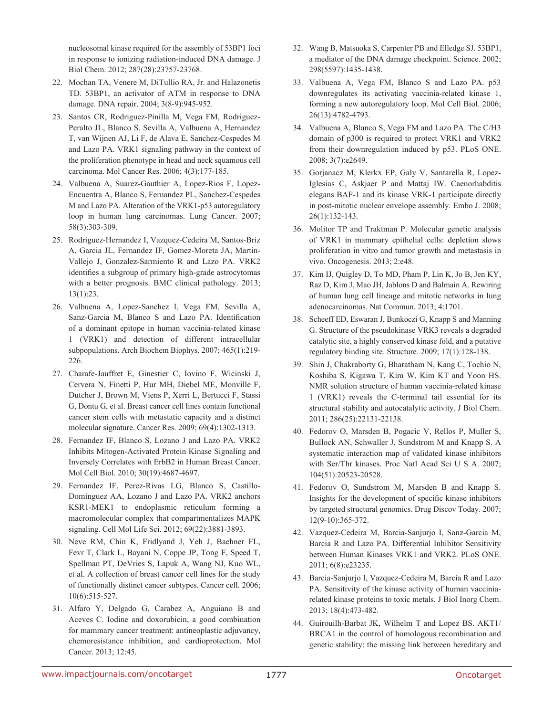nucleosomal kinase required for the assembly of 53BP1 foci in response to ionizing radiation-induced DNA damage. J Biol Chem. 2012; 287(28):23757-23768.

- 22. Mochan TA, Venere M, DiTullio RA, Jr. and Halazonetis TD. 53BP1, an activator of ATM in response to DNA damage. DNA repair. 2004; 3(8-9):945-952.
- 23. Santos CR, Rodriguez-Pinilla M, Vega FM, Rodriguez-Peralto JL, Blanco S, Sevilla A, Valbuena A, Hernandez T, van Wijnen AJ, Li F, de Alava E, Sanchez-Cespedes M and Lazo PA. VRK1 signaling pathway in the context of the proliferation phenotype in head and neck squamous cell carcinoma. Mol Cancer Res. 2006; 4(3):177-185.
- 24. Valbuena A, Suarez-Gauthier A, Lopez-Rios F, Lopez-Encuentra A, Blanco S, Fernandez PL, Sanchez-Cespedes M and Lazo PA. Alteration of the VRK1-p53 autoregulatory loop in human lung carcinomas. Lung Cancer. 2007; 58(3):303-309.
- 25. Rodriguez-Hernandez I, Vazquez-Cedeira M, Santos-Briz A, Garcia JL, Fernandez IF, Gomez-Moreta JA, Martin-Vallejo J, Gonzalez-Sarmiento R and Lazo PA. VRK2 identifies a subgroup of primary high-grade astrocytomas with a better prognosis. BMC clinical pathology. 2013; 13(1):23.
- 26. Valbuena A, Lopez-Sanchez I, Vega FM, Sevilla A, Sanz-Garcia M, Blanco S and Lazo PA. Identification of a dominant epitope in human vaccinia-related kinase 1 (VRK1) and detection of different intracellular subpopulations. Arch Biochem Biophys. 2007; 465(1):219- 226.
- 27. Charafe-Jauffret E, Ginestier C, Iovino F, Wicinski J, Cervera N, Finetti P, Hur MH, Diebel ME, Monville F, Dutcher J, Brown M, Viens P, Xerri L, Bertucci F, Stassi G, Dontu G, et al. Breast cancer cell lines contain functional cancer stem cells with metastatic capacity and a distinct molecular signature. Cancer Res. 2009; 69(4):1302-1313.
- 28. Fernandez IF, Blanco S, Lozano J and Lazo PA. VRK2 Inhibits Mitogen-Activated Protein Kinase Signaling and Inversely Correlates with ErbB2 in Human Breast Cancer. Mol Cell Biol. 2010; 30(19):4687-4697.
- 29. Fernandez IF, Perez-Rivas LG, Blanco S, Castillo-Dominguez AA, Lozano J and Lazo PA. VRK2 anchors KSR1-MEK1 to endoplasmic reticulum forming a macromolecular complex that compartmentalizes MAPK signaling. Cell Mol Life Sci. 2012; 69(22):3881-3893.
- 30. Neve RM, Chin K, Fridlyand J, Yeh J, Baehner FL, Fevr T, Clark L, Bayani N, Coppe JP, Tong F, Speed T, Spellman PT, DeVries S, Lapuk A, Wang NJ, Kuo WL, et al. A collection of breast cancer cell lines for the study of functionally distinct cancer subtypes. Cancer cell. 2006; 10(6):515-527.
- 31. Alfaro Y, Delgado G, Carabez A, Anguiano B and Aceves C. Iodine and doxorubicin, a good combination for mammary cancer treatment: antineoplastic adjuvancy, chemoresistance inhibition, and cardioprotection. Mol Cancer. 2013; 12:45.
- 32. Wang B, Matsuoka S, Carpenter PB and Elledge SJ. 53BP1, a mediator of the DNA damage checkpoint. Science. 2002; 298(5597):1435-1438.
- 33. Valbuena A, Vega FM, Blanco S and Lazo PA. p53 downregulates its activating vaccinia-related kinase 1, forming a new autoregulatory loop. Mol Cell Biol. 2006; 26(13):4782-4793.
- 34. Valbuena A, Blanco S, Vega FM and Lazo PA. The C/H3 domain of p300 is required to protect VRK1 and VRK2 from their downregulation induced by p53. PLoS ONE. 2008; 3(7):e2649.
- 35. Gorjanacz M, Klerkx EP, Galy V, Santarella R, Lopez-Iglesias C, Askjaer P and Mattaj IW. Caenorhabditis elegans BAF-1 and its kinase VRK-1 participate directly in post-mitotic nuclear envelope assembly. Embo J. 2008; 26(1):132-143.
- 36. Molitor TP and Traktman P. Molecular genetic analysis of VRK1 in mammary epithelial cells: depletion slows proliferation in vitro and tumor growth and metastasis in vivo. Oncogenesis. 2013; 2:e48.
- 37. Kim IJ, Quigley D, To MD, Pham P, Lin K, Jo B, Jen KY, Raz D, Kim J, Mao JH, Jablons D and Balmain A. Rewiring of human lung cell lineage and mitotic networks in lung adenocarcinomas. Nat Commun. 2013; 4:1701.
- 38. Scheeff ED, Eswaran J, Bunkoczi G, Knapp S and Manning G. Structure of the pseudokinase VRK3 reveals a degraded catalytic site, a highly conserved kinase fold, and a putative regulatory binding site. Structure. 2009; 17(1):128-138.
- 39. Shin J, Chakraborty G, Bharatham N, Kang C, Tochio N, Koshiba S, Kigawa T, Kim W, Kim KT and Yoon HS. NMR solution structure of human vaccinia-related kinase 1 (VRK1) reveals the C-terminal tail essential for its structural stability and autocatalytic activity. J Biol Chem. 2011; 286(25):22131-22138.
- 40. Fedorov O, Marsden B, Pogacic V, Rellos P, Muller S, Bullock AN, Schwaller J, Sundstrom M and Knapp S. A systematic interaction map of validated kinase inhibitors with Ser/Thr kinases. Proc Natl Acad Sci U S A. 2007; 104(51):20523-20528.
- 41. Fedorov O, Sundstrom M, Marsden B and Knapp S. Insights for the development of specific kinase inhibitors by targeted structural genomics. Drug Discov Today. 2007; 12(9-10):365-372.
- 42. Vazquez-Cedeira M, Barcia-Sanjurjo I, Sanz-Garcia M, Barcia R and Lazo PA. Differential Inhibitor Sensitivity between Human Kinases VRK1 and VRK2. PLoS ONE. 2011; 6(8):e23235.
- 43. Barcia-Sanjurjo I, Vazquez-Cedeira M, Barcia R and Lazo PA. Sensitivity of the kinase activity of human vacciniarelated kinase proteins to toxic metals. J Biol Inorg Chem. 2013; 18(4):473-482.
- 44. Guirouilh-Barbat JK, Wilhelm T and Lopez BS. AKT1/ BRCA1 in the control of homologous recombination and genetic stability: the missing link between hereditary and